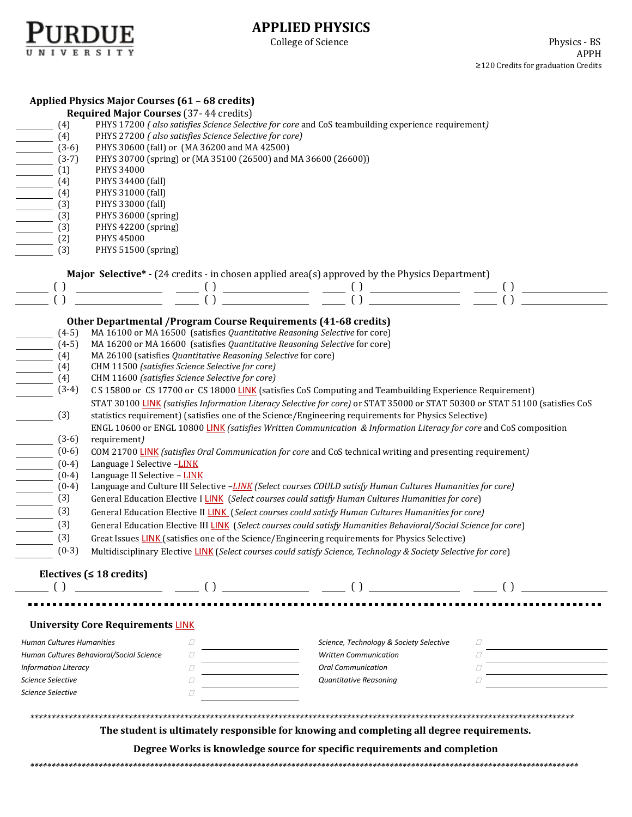

## **APPLIED PHYSICS**

College of Science

| (4)<br>$\frac{1}{(3-6)}$<br>$(3-7)$<br>$(1)$<br>$(4)$<br>$(4)$<br>$(2)$<br>$\frac{\sqrt{3}}{\sqrt{3}}$ (3)<br>(3)<br>(3)<br>$\overline{\phantom{a}}$<br>(2)<br>(3)                                                                                                                                                                                                                                                                                                                                                                                                                                                                                                                                                                                                                                                                                                                                                                                                                                                                                                                                                                                                                                                                                                                                                                                                                                                                                                                                                                                                                                                                                                                                                                                                                                                                                                                                                                            | Applied Physics Major Courses (61 - 68 credits)<br><b>Required Major Courses (37-44 credits)</b><br>PHYS 17200 (also satisfies Science Selective for core and CoS teambuilding experience requirement)<br>PHYS 27200 (also satisfies Science Selective for core)<br>PHYS 30600 (fall) or (MA 36200 and MA 42500)<br>PHYS 30700 (spring) or (MA 35100 (26500) and MA 36600 (26600))<br>PHYS 34000<br>PHYS 34400 (fall)<br>PHYS 31000 (fall)<br>PHYS 33000 (fall)<br>PHYS 36000 (spring)<br>PHYS 42200 (spring)<br>PHYS 45000<br>PHYS 51500 (spring)                                                                  |                                                                                                                                |                                          |  |  |  |
|-----------------------------------------------------------------------------------------------------------------------------------------------------------------------------------------------------------------------------------------------------------------------------------------------------------------------------------------------------------------------------------------------------------------------------------------------------------------------------------------------------------------------------------------------------------------------------------------------------------------------------------------------------------------------------------------------------------------------------------------------------------------------------------------------------------------------------------------------------------------------------------------------------------------------------------------------------------------------------------------------------------------------------------------------------------------------------------------------------------------------------------------------------------------------------------------------------------------------------------------------------------------------------------------------------------------------------------------------------------------------------------------------------------------------------------------------------------------------------------------------------------------------------------------------------------------------------------------------------------------------------------------------------------------------------------------------------------------------------------------------------------------------------------------------------------------------------------------------------------------------------------------------------------------------------------------------|---------------------------------------------------------------------------------------------------------------------------------------------------------------------------------------------------------------------------------------------------------------------------------------------------------------------------------------------------------------------------------------------------------------------------------------------------------------------------------------------------------------------------------------------------------------------------------------------------------------------|--------------------------------------------------------------------------------------------------------------------------------|------------------------------------------|--|--|--|
| $\left( \right)$<br>$\left( \ \right)$                                                                                                                                                                                                                                                                                                                                                                                                                                                                                                                                                                                                                                                                                                                                                                                                                                                                                                                                                                                                                                                                                                                                                                                                                                                                                                                                                                                                                                                                                                                                                                                                                                                                                                                                                                                                                                                                                                        | Major Selective* - (24 credits - in chosen applied area(s) approved by the Physics Department)<br>$\begin{tabular}{cccccc} \quad \quad & (1) & \quad \quad & (1) & \quad \quad & (2) & \quad \quad & (3) & \quad \quad & (4) & \quad \quad & (5) & \quad \quad & (6) & \quad \quad & (7) & \quad \quad & (8) & \quad \quad & (9) & \quad \quad & (1) & \quad \quad & (1) & \quad \quad & (1) & \quad \quad & (1) & \quad \quad & (1) & \quad \quad & (1) & \quad \quad & (1) & \quad \quad & (1) & \quad \quad & (1) & \quad \quad & (1) & \quad \quad & (1) & \quad \quad & (1) & \quad \quad & (1) & \quad \quad$ |                                                                                                                                | $\left( \ \right)$<br>$\left( \ \right)$ |  |  |  |
| Other Departmental / Program Course Requirements (41-68 credits)<br>MA 16100 or MA 16500 (satisfies Quantitative Reasoning Selective for core)<br>$(4-5)$<br>$(4-5)$<br>MA 16200 or MA 16600 (satisfies Quantitative Reasoning Selective for core)<br>MA 26100 (satisfies Quantitative Reasoning Selective for core)<br>(4)<br>$\frac{1}{1}$<br>CHM 11500 (satisfies Science Selective for core)<br>(4)<br>CHM 11600 (satisfies Science Selective for core)<br>(4)<br>$(3-4)$<br>C S 15800 or CS 17700 or CS 18000 LINK (satisfies CoS Computing and Teambuilding Experience Requirement)<br>STAT 30100 LINK (satisfies Information Literacy Selective for core) or STAT 35000 or STAT 50300 or STAT 51100 (satisfies CoS<br>statistics requirement) (satisfies one of the Science/Engineering requirements for Physics Selective)<br>(3)<br>ENGL 10600 or ENGL 10800 LINK (satisfies Written Communication & Information Literacy for core and CoS composition<br>$(3-6)$<br>requirement)<br>$(0-6)$<br>COM 21700 LINK (satisfies Oral Communication for core and CoS technical writing and presenting requirement)<br>Language I Selective -LINK<br>$(0-4)$<br>$(0-4)$<br>Language II Selective - LINK<br>$\equiv$<br>Language and Culture III Selective -LINK (Select courses COULD satisfy Human Cultures Humanities for core)<br>$(0-4)$<br>(3)<br>General Education Elective I LINK (Select courses could satisfy Human Cultures Humanities for core)<br>(3)<br>General Education Elective II LINK (Select courses could satisfy Human Cultures Humanities for core)<br>(3)<br>General Education Elective III LINK (Select courses could satisfy Humanities Behavioral/Social Science for core)<br>(3)<br>Great Issues LINK (satisfies one of the Science/Engineering requirements for Physics Selective)<br>$(0-3)$<br>Multidisciplinary Elective LINK (Select courses could satisfy Science, Technology & Society Selective for core) |                                                                                                                                                                                                                                                                                                                                                                                                                                                                                                                                                                                                                     |                                                                                                                                |                                          |  |  |  |
|                                                                                                                                                                                                                                                                                                                                                                                                                                                                                                                                                                                                                                                                                                                                                                                                                                                                                                                                                                                                                                                                                                                                                                                                                                                                                                                                                                                                                                                                                                                                                                                                                                                                                                                                                                                                                                                                                                                                               | Electives ( $\leq 18$ credits)                                                                                                                                                                                                                                                                                                                                                                                                                                                                                                                                                                                      |                                                                                                                                |                                          |  |  |  |
| <b>Human Cultures Humanities</b><br><b>Information Literacy</b><br>Science Selective<br><b>Science Selective</b>                                                                                                                                                                                                                                                                                                                                                                                                                                                                                                                                                                                                                                                                                                                                                                                                                                                                                                                                                                                                                                                                                                                                                                                                                                                                                                                                                                                                                                                                                                                                                                                                                                                                                                                                                                                                                              | <b>University Core Requirements LINK</b><br>Ω<br>Human Cultures Behavioral/Social Science<br>$\varOmega$<br>$\Box$<br>$\Box$<br>O                                                                                                                                                                                                                                                                                                                                                                                                                                                                                   | Science, Technology & Society Selective<br><b>Written Communication</b><br><b>Oral Communication</b><br>Quantitative Reasoning | П<br>Ω<br>Ω                              |  |  |  |
| The student is ultimately responsible for knowing and completing all degree requirements.<br>Degree Works is knowledge source for specific requirements and completion                                                                                                                                                                                                                                                                                                                                                                                                                                                                                                                                                                                                                                                                                                                                                                                                                                                                                                                                                                                                                                                                                                                                                                                                                                                                                                                                                                                                                                                                                                                                                                                                                                                                                                                                                                        |                                                                                                                                                                                                                                                                                                                                                                                                                                                                                                                                                                                                                     |                                                                                                                                |                                          |  |  |  |